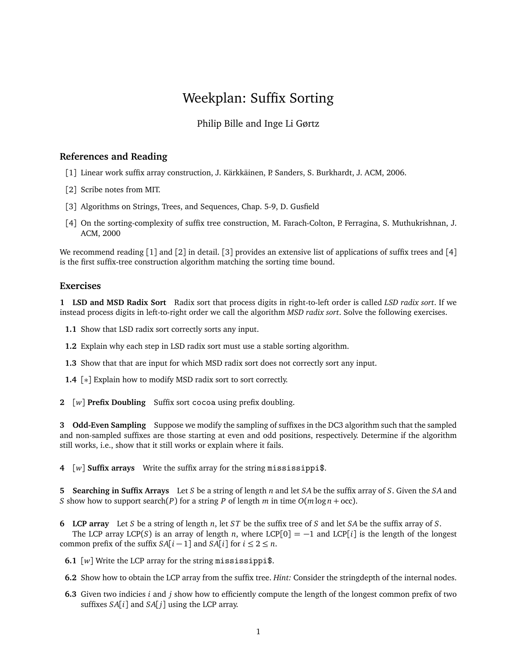## Weekplan: Suffix Sorting

## Philip Bille and Inge Li Gørtz

## **References and Reading**

- [1] Linear work suffix array construction, J. Kärkkäinen, P. Sanders, S. Burkhardt, J. ACM, 2006.
- [2] Scribe notes from MIT.
- [3] Algorithms on Strings, Trees, and Sequences, Chap. 5-9, D. Gusfield
- [4] On the sorting-complexity of suffix tree construction, M. Farach-Colton, P. Ferragina, S. Muthukrishnan, J. ACM, 2000

We recommend reading  $\lceil 1 \rceil$  and  $\lceil 2 \rceil$  in detail.  $\lceil 3 \rceil$  provides an extensive list of applications of suffix trees and  $\lceil 4 \rceil$ is the first suffix-tree construction algorithm matching the sorting time bound.

## **Exercises**

**1 LSD and MSD Radix Sort** Radix sort that process digits in right-to-left order is called *LSD radix sort*. If we instead process digits in left-to-right order we call the algorithm *MSD radix sort*. Solve the following exercises.

**1.1** Show that LSD radix sort correctly sorts any input.

- **1.2** Explain why each step in LSD radix sort must use a stable sorting algorithm.
- **1.3** Show that that are input for which MSD radix sort does not correctly sort any input.
- **1.4** [∗] Explain how to modify MSD radix sort to sort correctly.
- **2** [*w*] **Prefix Doubling** Suffix sort cocoa using prefix doubling.

**3 Odd-Even Sampling** Suppose we modify the sampling of suffixes in the DC3 algorithm such that the sampled and non-sampled suffixes are those starting at even and odd positions, respectively. Determine if the algorithm still works, i.e., show that it still works or explain where it fails.

**4** [*w*] **Suffix arrays** Write the suffix array for the string mississippi\$.

**5 Searching in Suffix Arrays** Let *S* be a string of length *n* and let *SA* be the suffix array of *S*. Given the *SA* and *S* show how to support search(*P*) for a string *P* of length *m* in time  $O(m \log n + \text{occ})$ .

**6 LCP array** Let *S* be a string of length *n*, let *ST* be the suffix tree of *S* and let *SA* be the suffix array of *S*.

The LCP array LCP(*S*) is an array of length *n*, where LCP[0] =  $-1$  and LCP[*i*] is the length of the longest common prefix of the suffix  $SA[i-1]$  and  $SA[i]$  for  $i \leq 2 \leq n$ .

- **6.1** [*w*] Write the LCP array for the string mississippi\$.
- **6.2** Show how to obtain the LCP array from the suffix tree. *Hint:* Consider the stringdepth of the internal nodes.
- **6.3** Given two indicies *i* and *j* show how to efficiently compute the length of the longest common prefix of two suffixes  $SA[i]$  and  $SA[j]$  using the LCP array.